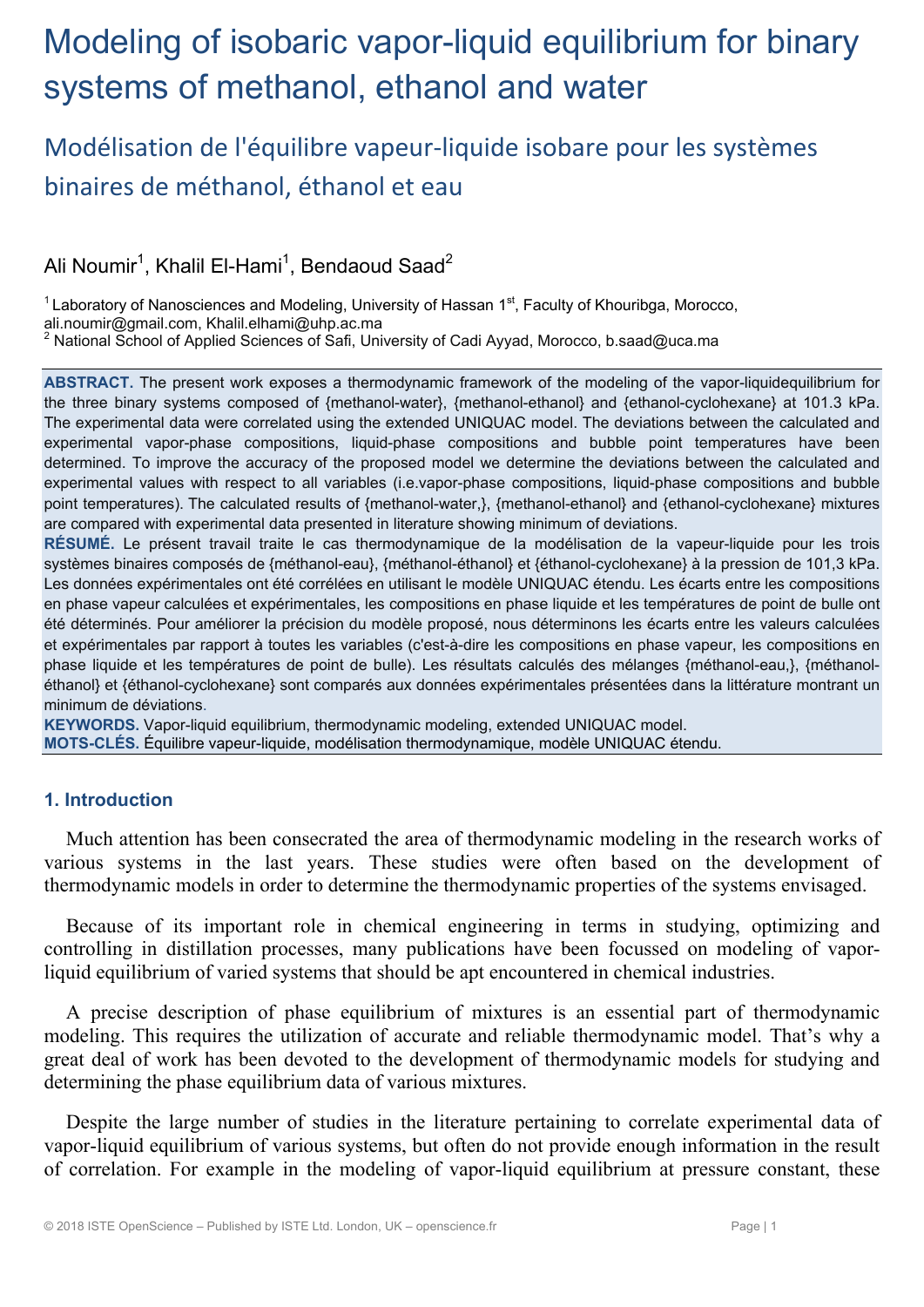# Modeling of isobaric vapor-liquid equilibrium for binary systems of methanol, ethanol and water

## Modélisation de l'équilibre vapeur‐liquide isobare pour les systèmes binaires de méthanol, éthanol et eau

Ali Noumir $^1$ , Khalil El-Hami $^1$ , Bendaoud Saad $^2$ 

 $1$  Laboratory of Nanosciences and Modeling, University of Hassan  $1<sup>st</sup>$ , Faculty of Khouribga, Morocco,

ali.noumir@gmail.com, Khalil.elhami@uhp.ac.ma 2

National School of Applied Sciences of Safi, University of Cadi Ayyad, Morocco, b.saad@uca.ma

**ABSTRACT.** The present work exposes a thermodynamic framework of the modeling of the vapor-liquidequilibrium for the three binary systems composed of {methanol-water}, {methanol-ethanol} and {ethanol-cyclohexane} at 101.3 kPa. The experimental data were correlated using the extended UNIQUAC model. The deviations between the calculated and experimental vapor-phase compositions, liquid-phase compositions and bubble point temperatures have been determined. To improve the accuracy of the proposed model we determine the deviations between the calculated and experimental values with respect to all variables (i.e.vapor-phase compositions, liquid-phase compositions and bubble point temperatures). The calculated results of {methanol-water,}, {methanol-ethanol} and {ethanol-cyclohexane} mixtures are compared with experimental data presented in literature showing minimum of deviations.

**RÉSUMÉ.** Le présent travail traite le cas thermodynamique de la modélisation de la vapeur-liquide pour les trois systèmes binaires composés de {méthanol-eau}, {méthanol-éthanol} et {éthanol-cyclohexane} à la pression de 101,3 kPa. Les données expérimentales ont été corrélées en utilisant le modèle UNIQUAC étendu. Les écarts entre les compositions en phase vapeur calculées et expérimentales, les compositions en phase liquide et les températures de point de bulle ont été déterminés. Pour améliorer la précision du modèle proposé, nous déterminons les écarts entre les valeurs calculées et expérimentales par rapport à toutes les variables (c'est-à-dire les compositions en phase vapeur, les compositions en phase liquide et les températures de point de bulle). Les résultats calculés des mélanges {méthanol-eau,}, {méthanoléthanol} et {éthanol-cyclohexane} sont comparés aux données expérimentales présentées dans la littérature montrant un minimum de déviations.

**KEYWORDS.** Vapor-liquid equilibrium, thermodynamic modeling, extended UNIQUAC model. **MOTS-CLÉS.** Équilibre vapeur-liquide, modélisation thermodynamique, modèle UNIQUAC étendu.

### **1. Introduction**

Much attention has been consecrated the area of thermodynamic modeling in the research works of various systems in the last years. These studies were often based on the development of thermodynamic models in order to determine the thermodynamic properties of the systems envisaged.

Because of its important role in chemical engineering in terms in studying, optimizing and controlling in distillation processes, many publications have been focussed on modeling of vaporliquid equilibrium of varied systems that should be apt encountered in chemical industries.

A precise description of phase equilibrium of mixtures is an essential part of thermodynamic modeling. This requires the utilization of accurate and reliable thermodynamic model. That's why a great deal of work has been devoted to the development of thermodynamic models for studying and determining the phase equilibrium data of various mixtures.

Despite the large number of studies in the literature pertaining to correlate experimental data of vapor-liquid equilibrium of various systems, but often do not provide enough information in the result of correlation. For example in the modeling of vapor-liquid equilibrium at pressure constant, these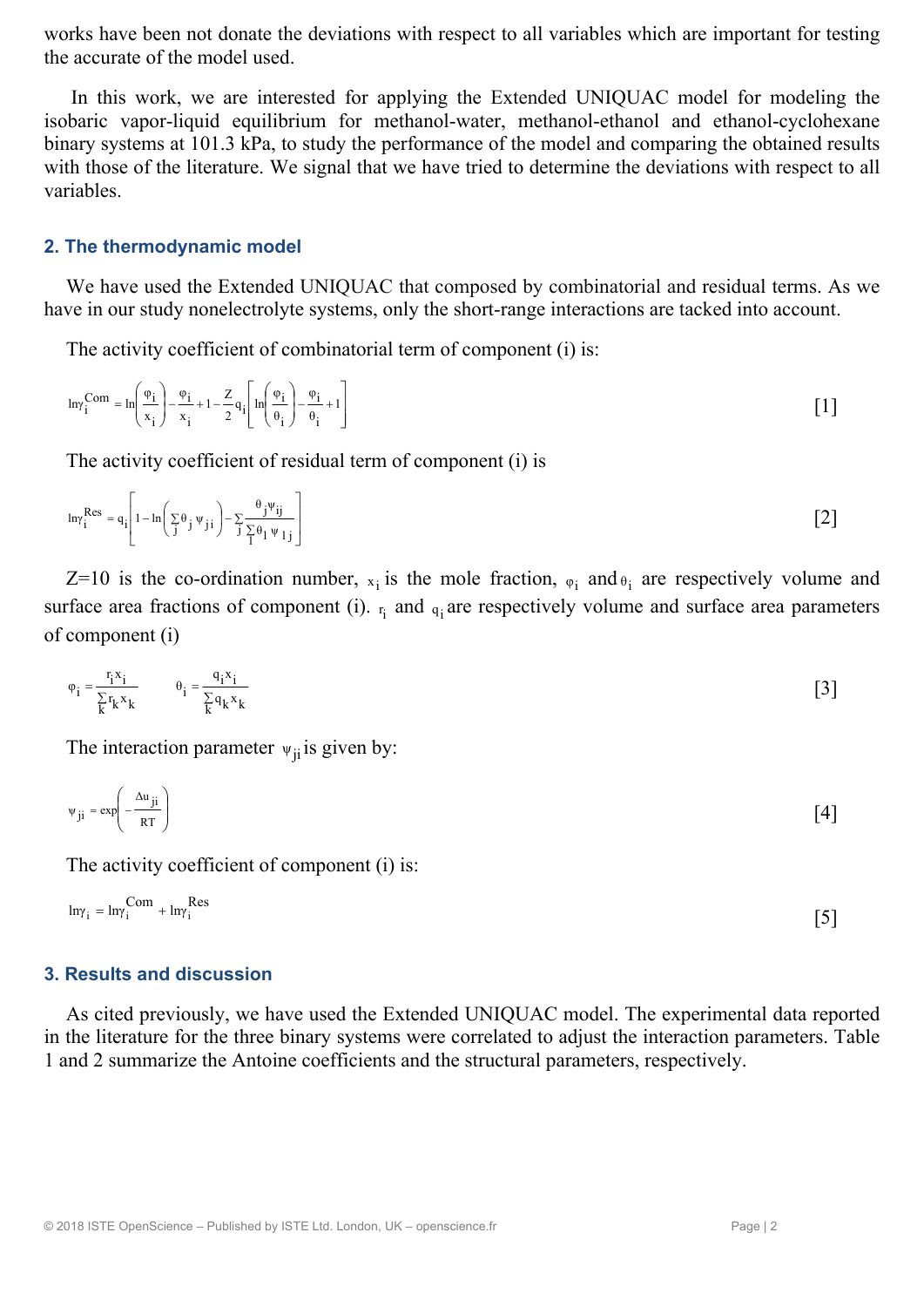works have been not donate the deviations with respect to all variables which are important for testing the accurate of the model used.

 In this work, we are interested for applying the Extended UNIQUAC model for modeling the isobaric vapor-liquid equilibrium for methanol-water, methanol-ethanol and ethanol-cyclohexane binary systems at 101.3 kPa, to study the performance of the model and comparing the obtained results with those of the literature. We signal that we have tried to determine the deviations with respect to all variables.

#### **2. The thermodynamic model**

We have used the Extended UNIQUAC that composed by combinatorial and residual terms. As we have in our study nonelectrolyte systems, only the short-range interactions are tacked into account.

The activity coefficient of combinatorial term of component (i) is:

$$
\ln \gamma_i^{Com} = \ln \left( \frac{\varphi_i}{x_i} \right) - \frac{\varphi_i}{x_i} + 1 - \frac{z}{2} q_i \left[ \ln \left( \frac{\varphi_i}{\theta_i} \right) - \frac{\varphi_i}{\theta_i} + 1 \right]
$$
 [1]

The activity coefficient of residual term of component (i) is

$$
\ln \gamma_i^{\text{Res}} = q_i \left[ 1 - \ln \left( \sum_j \theta_j \psi_{j i} \right) - \sum_j \frac{\theta_j \psi_{ij}}{\sum_j \theta_l \psi_{1 j}} \right]
$$
 [2]

Z=10 is the co-ordination number,  $x_i$  is the mole fraction,  $\varphi_i$  and  $\varphi_i$  are respectively volume and surface area fractions of component (i).  $r_i$  and  $q_i$  are respectively volume and surface area parameters of component (i)

$$
\varphi_i = \frac{r_i x_i}{\sum_k r_k x_k} \qquad \theta_i = \frac{q_i x_i}{\sum_k q_k x_k} \tag{3}
$$

The interaction parameter  $\psi_{ii}$  is given by:

$$
\Psi_{ji} = \exp\left(-\frac{\Delta u_{ji}}{RT}\right) \tag{4}
$$

The activity coefficient of component (i) is:

$$
ln\gamma_i = ln\gamma_i^{Com} + ln\gamma_i^{Res}
$$

#### **3. Results and discussion**

As cited previously, we have used the Extended UNIQUAC model. The experimental data reported in the literature for the three binary systems were correlated to adjust the interaction parameters. Table 1 and 2 summarize the Antoine coefficients and the structural parameters, respectively.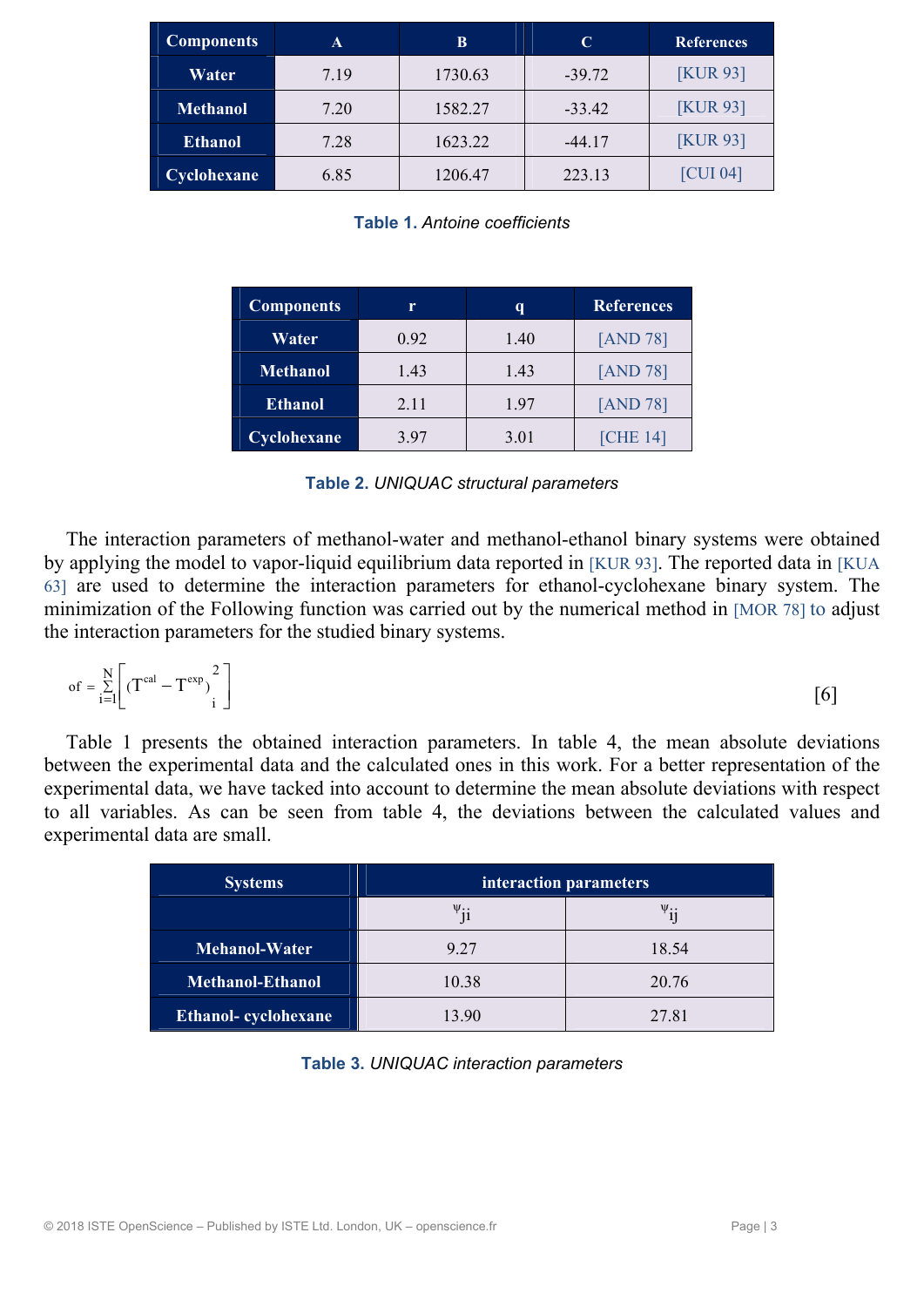| <b>Components</b> | A    | В       | C        | <b>References</b> |
|-------------------|------|---------|----------|-------------------|
| Water             | 7.19 | 1730.63 | $-39.72$ | <b>[KUR 93]</b>   |
| <b>Methanol</b>   | 7.20 | 1582.27 | $-33.42$ | <b>[KUR 93]</b>   |
| <b>Ethanol</b>    | 7.28 | 1623.22 | $-44.17$ | <b>KUR 931</b>    |
| Cyclohexane       | 6.85 | 1206.47 | 223.13   | [CUI 04]          |

**Table 1.** *Antoine coefficients*

| <b>Components</b> | r    | q    | <b>References</b> |  |  |
|-------------------|------|------|-------------------|--|--|
| Water             | 0.92 | 1.40 | [AND 78]          |  |  |
| <b>Methanol</b>   | 1.43 | 1.43 | [AND 78]          |  |  |
| <b>Ethanol</b>    | 2.11 | 1.97 | [AND 78]          |  |  |
| Cyclohexane       | 3.97 | 3.01 | <b>[CHE 14]</b>   |  |  |

| Table 2. UNIQUAC structural parameters |  |  |  |  |  |
|----------------------------------------|--|--|--|--|--|
|----------------------------------------|--|--|--|--|--|

The interaction parameters of methanol-water and methanol-ethanol binary systems were obtained by applying the model to vapor-liquid equilibrium data reported in [KUR 93]. The reported data in [KUA 63] are used to determine the interaction parameters for ethanol-cyclohexane binary system. The minimization of the Following function was carried out by the numerical method in [MOR 78] to adjust the interaction parameters for the studied binary systems.

$$
\text{of } = \sum_{i=1}^{N} \left[ \left( T^{\text{cal}} - T^{\text{exp}} \right)^2 \right] \tag{6}
$$

Table 1 presents the obtained interaction parameters. In table 4, the mean absolute deviations between the experimental data and the calculated ones in this work. For a better representation of the experimental data, we have tacked into account to determine the mean absolute deviations with respect to all variables. As can be seen from table 4, the deviations between the calculated values and experimental data are small.

| <b>Systems</b>          | interaction parameters |                            |  |  |  |  |
|-------------------------|------------------------|----------------------------|--|--|--|--|
|                         | $\psi_{ii}$            | $\mathsf{v}_{\mathbf{ii}}$ |  |  |  |  |
| Mehanol-Water           | 9.27                   | 18.54                      |  |  |  |  |
| <b>Methanol-Ethanol</b> | 10.38                  | 20.76                      |  |  |  |  |
| Ethanol-cyclohexane     | 13.90                  | 27.81                      |  |  |  |  |

**Table 3.** *UNIQUAC interaction parameters*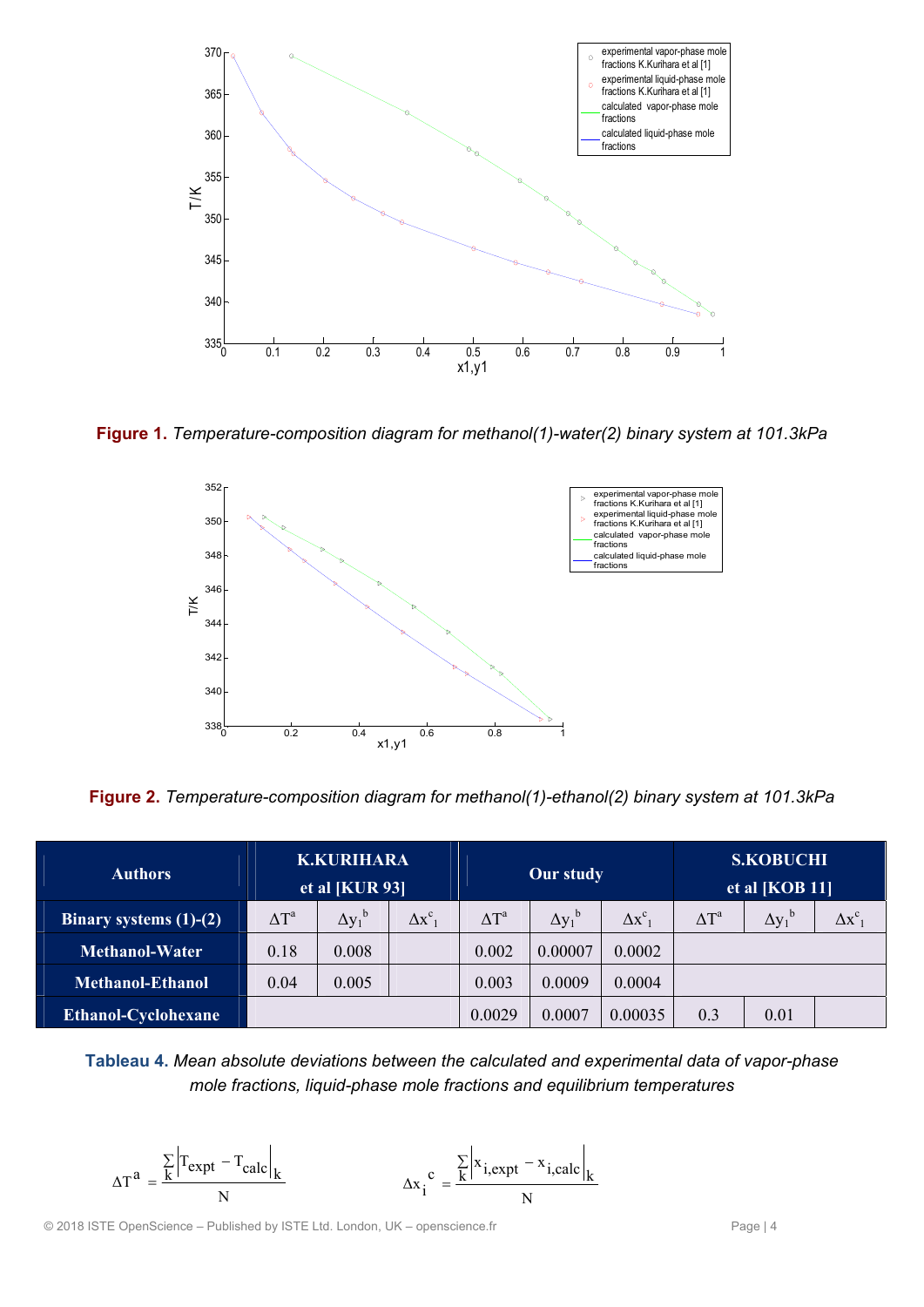

**Figure 1.** *Temperature-composition diagram for methanol(1)-water(2) binary system at 101.3kPa*



**Figure 2.** *Temperature-composition diagram for methanol(1)-ethanol(2) binary system at 101.3kPa* 

| <b>Authors</b>           | <b>K.KURIHARA</b><br>et al [ $KUR 93$ ] |                    | Our study      |              | <b>S.KOBUCHI</b><br>et al $[KOB 11]$ |                |              |                           |              |
|--------------------------|-----------------------------------------|--------------------|----------------|--------------|--------------------------------------|----------------|--------------|---------------------------|--------------|
| Binary systems $(1)-(2)$ | $\Delta T^a$                            | $\Delta y_1^{\ b}$ | $\Delta x^c_1$ | $\Delta T^a$ | $\Delta y_1^{\ b}$                   | $\Delta x^c_1$ | $\Delta T^a$ | $\Delta y_1^{\mathrm{b}}$ | $\Delta x^c$ |
| <b>Methanol-Water</b>    | 0.18                                    | 0.008              |                | 0.002        | 0.00007                              | 0.0002         |              |                           |              |
| <b>Methanol-Ethanol</b>  | 0.04                                    | 0.005              |                | 0.003        | 0.0009                               | 0.0004         |              |                           |              |
| Ethanol-Cyclohexane      |                                         |                    |                | 0.0029       | 0.0007                               | 0.00035        | 0.3          | 0.01                      |              |

**Tableau 4.** *Mean absolute deviations between the calculated and experimental data of vapor-phase mole fractions, liquid-phase mole fractions and equilibrium temperatures* 

$$
\Delta T^{a} = \frac{\sum_{k} \left| T_{expt} - T_{calc} \right|_{k}}{N}
$$
 
$$
\Delta x_{i}^{c} = \frac{\sum_{k} \left| x_{i,expt} - x_{i,calc} \right|_{k}}{N}
$$